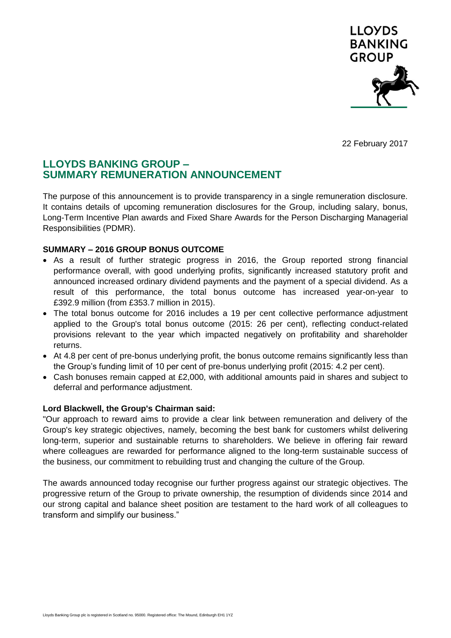

22 February 2017

# **LLOYDS BANKING GROUP – SUMMARY REMUNERATION ANNOUNCEMENT**

The purpose of this announcement is to provide transparency in a single remuneration disclosure. It contains details of upcoming remuneration disclosures for the Group, including salary, bonus, Long-Term Incentive Plan awards and Fixed Share Awards for the Person Discharging Managerial Responsibilities (PDMR).

# **SUMMARY – 2016 GROUP BONUS OUTCOME**

- As a result of further strategic progress in 2016, the Group reported strong financial performance overall, with good underlying profits, significantly increased statutory profit and announced increased ordinary dividend payments and the payment of a special dividend. As a result of this performance, the total bonus outcome has increased year-on-year to £392.9 million (from £353.7 million in 2015).
- The total bonus outcome for 2016 includes a 19 per cent collective performance adjustment applied to the Group's total bonus outcome (2015: 26 per cent), reflecting conduct-related provisions relevant to the year which impacted negatively on profitability and shareholder returns.
- At 4.8 per cent of pre-bonus underlying profit, the bonus outcome remains significantly less than the Group's funding limit of 10 per cent of pre-bonus underlying profit (2015: 4.2 per cent).
- Cash bonuses remain capped at £2,000, with additional amounts paid in shares and subject to deferral and performance adjustment.

## **Lord Blackwell, the Group's Chairman said:**

"Our approach to reward aims to provide a clear link between remuneration and delivery of the Group's key strategic objectives, namely, becoming the best bank for customers whilst delivering long-term, superior and sustainable returns to shareholders. We believe in offering fair reward where colleagues are rewarded for performance aligned to the long-term sustainable success of the business, our commitment to rebuilding trust and changing the culture of the Group.

The awards announced today recognise our further progress against our strategic objectives. The progressive return of the Group to private ownership, the resumption of dividends since 2014 and our strong capital and balance sheet position are testament to the hard work of all colleagues to transform and simplify our business."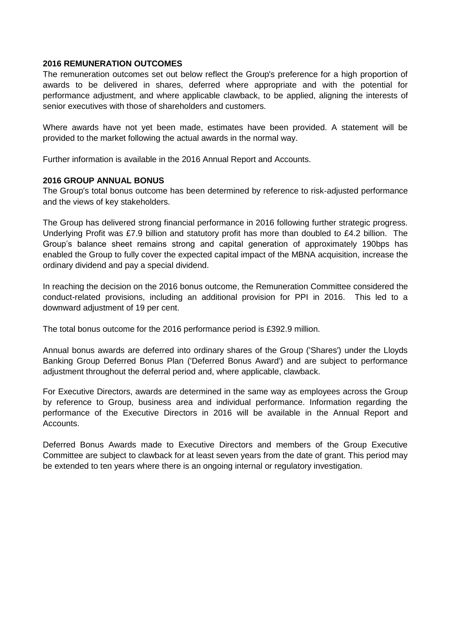#### **2016 REMUNERATION OUTCOMES**

The remuneration outcomes set out below reflect the Group's preference for a high proportion of awards to be delivered in shares, deferred where appropriate and with the potential for performance adjustment, and where applicable clawback, to be applied, aligning the interests of senior executives with those of shareholders and customers.

Where awards have not yet been made, estimates have been provided. A statement will be provided to the market following the actual awards in the normal way.

Further information is available in the 2016 Annual Report and Accounts.

## **2016 GROUP ANNUAL BONUS**

The Group's total bonus outcome has been determined by reference to risk-adjusted performance and the views of key stakeholders.

The Group has delivered strong financial performance in 2016 following further strategic progress. Underlying Profit was £7.9 billion and statutory profit has more than doubled to £4.2 billion. The Group's balance sheet remains strong and capital generation of approximately 190bps has enabled the Group to fully cover the expected capital impact of the MBNA acquisition, increase the ordinary dividend and pay a special dividend.

In reaching the decision on the 2016 bonus outcome, the Remuneration Committee considered the conduct-related provisions, including an additional provision for PPI in 2016. This led to a downward adjustment of 19 per cent.

The total bonus outcome for the 2016 performance period is £392.9 million.

Annual bonus awards are deferred into ordinary shares of the Group ('Shares') under the Lloyds Banking Group Deferred Bonus Plan ('Deferred Bonus Award') and are subject to performance adjustment throughout the deferral period and, where applicable, clawback.

For Executive Directors, awards are determined in the same way as employees across the Group by reference to Group, business area and individual performance. Information regarding the performance of the Executive Directors in 2016 will be available in the Annual Report and Accounts.

Deferred Bonus Awards made to Executive Directors and members of the Group Executive Committee are subject to clawback for at least seven years from the date of grant. This period may be extended to ten years where there is an ongoing internal or regulatory investigation.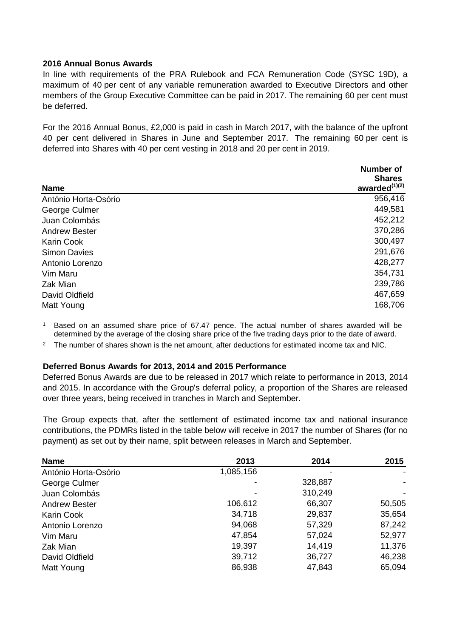#### **2016 Annual Bonus Awards**

In line with requirements of the PRA Rulebook and FCA Remuneration Code (SYSC 19D), a maximum of 40 per cent of any variable remuneration awarded to Executive Directors and other members of the Group Executive Committee can be paid in 2017. The remaining 60 per cent must be deferred.

For the 2016 Annual Bonus, £2,000 is paid in cash in March 2017, with the balance of the upfront 40 per cent delivered in Shares in June and September 2017. The remaining 60 per cent is deferred into Shares with 40 per cent vesting in 2018 and 20 per cent in 2019.

| <b>Name</b>          | <b>Number of</b><br><b>Shares</b><br>awarded $^{(1)(2)}$ |
|----------------------|----------------------------------------------------------|
| António Horta-Osório | 956,416                                                  |
| George Culmer        | 449,581                                                  |
| Juan Colombás        | 452,212                                                  |
| <b>Andrew Bester</b> | 370,286                                                  |
| <b>Karin Cook</b>    | 300,497                                                  |
| <b>Simon Davies</b>  | 291,676                                                  |
| Antonio Lorenzo      | 428,277                                                  |
| Vim Maru             | 354,731                                                  |
| Zak Mian             | 239,786                                                  |
| David Oldfield       | 467,659                                                  |
| Matt Young           | 168,706                                                  |

<sup>1</sup> Based on an assumed share price of 67.47 pence. The actual number of shares awarded will be determined by the average of the closing share price of the five trading days prior to the date of award.

<sup>2</sup> The number of shares shown is the net amount, after deductions for estimated income tax and NIC.

#### **Deferred Bonus Awards for 2013, 2014 and 2015 Performance**

Deferred Bonus Awards are due to be released in 2017 which relate to performance in 2013, 2014 and 2015. In accordance with the Group's deferral policy, a proportion of the Shares are released over three years, being received in tranches in March and September.

The Group expects that, after the settlement of estimated income tax and national insurance contributions, the PDMRs listed in the table below will receive in 2017 the number of Shares (for no payment) as set out by their name, split between releases in March and September.

| <b>Name</b>          | 2013      | 2014    | 2015   |  |
|----------------------|-----------|---------|--------|--|
| António Horta-Osório | 1,085,156 |         |        |  |
| George Culmer        |           | 328,887 |        |  |
| Juan Colombás        |           | 310,249 |        |  |
| <b>Andrew Bester</b> | 106,612   | 66,307  | 50,505 |  |
| <b>Karin Cook</b>    | 34,718    | 29,837  | 35,654 |  |
| Antonio Lorenzo      | 94,068    | 57,329  | 87,242 |  |
| Vim Maru             | 47,854    | 57,024  | 52,977 |  |
| Zak Mian             | 19,397    | 14,419  | 11,376 |  |
| David Oldfield       | 39,712    | 36,727  | 46,238 |  |
| Matt Young           | 86,938    | 47,843  | 65,094 |  |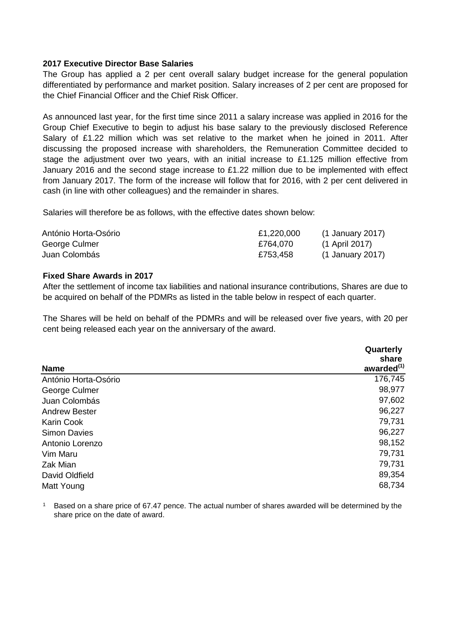#### **2017 Executive Director Base Salaries**

The Group has applied a 2 per cent overall salary budget increase for the general population differentiated by performance and market position. Salary increases of 2 per cent are proposed for the Chief Financial Officer and the Chief Risk Officer.

As announced last year, for the first time since 2011 a salary increase was applied in 2016 for the Group Chief Executive to begin to adjust his base salary to the previously disclosed Reference Salary of £1.22 million which was set relative to the market when he joined in 2011. After discussing the proposed increase with shareholders, the Remuneration Committee decided to stage the adjustment over two years, with an initial increase to £1.125 million effective from January 2016 and the second stage increase to £1.22 million due to be implemented with effect from January 2017. The form of the increase will follow that for 2016, with 2 per cent delivered in cash (in line with other colleagues) and the remainder in shares.

Salaries will therefore be as follows, with the effective dates shown below:

| António Horta-Osório | £1,220,000 | (1 January 2017) |
|----------------------|------------|------------------|
| George Culmer        | £764.070   | (1 April 2017)   |
| Juan Colombás        | £753.458   | (1 January 2017) |

## **Fixed Share Awards in 2017**

After the settlement of income tax liabilities and national insurance contributions, Shares are due to be acquired on behalf of the PDMRs as listed in the table below in respect of each quarter.

The Shares will be held on behalf of the PDMRs and will be released over five years, with 20 per cent being released each year on the anniversary of the award.

|                      | Quarterly<br>share     |
|----------------------|------------------------|
| <b>Name</b>          | awarded <sup>(1)</sup> |
| António Horta-Osório | 176,745                |
| George Culmer        | 98,977                 |
| Juan Colombás        | 97,602                 |
| <b>Andrew Bester</b> | 96,227                 |
| <b>Karin Cook</b>    | 79,731                 |
| <b>Simon Davies</b>  | 96,227                 |
| Antonio Lorenzo      | 98,152                 |
| Vim Maru             | 79,731                 |
| Zak Mian             | 79,731                 |
| David Oldfield       | 89,354                 |
| Matt Young           | 68,734                 |

<sup>1</sup> Based on a share price of 67.47 pence. The actual number of shares awarded will be determined by the share price on the date of award.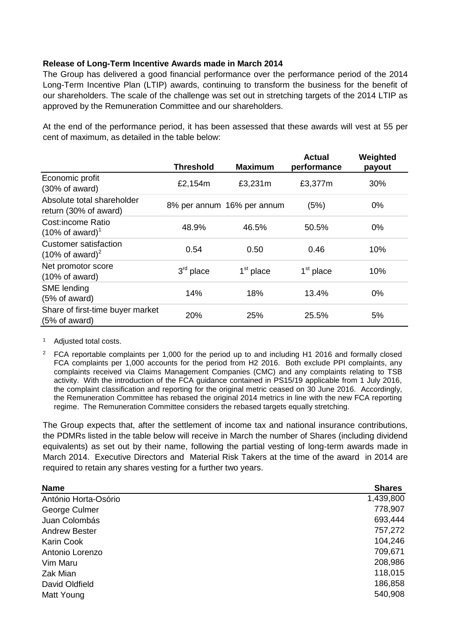## **Release of Long-Term Incentive Awards made in March 2014**

The Group has delivered a good financial performance over the performance period of the 2014 Long-Term Incentive Plan (LTIP) awards, continuing to transform the business for the benefit of our shareholders. The scale of the challenge was set out in stretching targets of the 2014 LTIP as approved by the Remuneration Committee and our shareholders.

At the end of the performance period, it has been assessed that these awards will vest at 55 per cent of maximum, as detailed in the table below:

|                                                             | <b>Threshold</b> | <b>Maximum</b>             | <b>Actual</b><br>performance | Weighted<br>payout |
|-------------------------------------------------------------|------------------|----------------------------|------------------------------|--------------------|
| Economic profit<br>(30% of award)                           | £2,154m          | £3,231m                    | £3,377m                      | 30%                |
| Absolute total shareholder<br>return (30% of award)         |                  | 8% per annum 16% per annum | (5%)                         | $0\%$              |
| <b>Cost:income Ratio</b><br>$(10\% \text{ of award})^1$     | 48.9%            | 46.5%                      | 50.5%                        | $0\%$              |
| <b>Customer satisfaction</b><br>$(10\% \text{ of award})^2$ | 0.54             | 0.50                       | 0.46                         | 10%                |
| Net promotor score<br>$(10\% \text{ of award})$             | $3rd$ place      | $1st$ place                | 1 <sup>st</sup> place        | 10%                |
| SME lending<br>(5% of award)                                | 14%              | 18%                        | 13.4%                        | $0\%$              |
| Share of first-time buyer market<br>(5% of award)           | 20%              | 25%                        | 25.5%                        | 5%                 |

<sup>1</sup> Adjusted total costs.

<sup>2</sup> FCA reportable complaints per 1,000 for the period up to and including H1 2016 and formally closed FCA complaints per 1,000 accounts for the period from H2 2016. Both exclude PPI complaints, any complaints received via Claims Management Companies (CMC) and any complaints relating to TSB activity. With the introduction of the FCA guidance contained in PS15/19 applicable from 1 July 2016, the complaint classification and reporting for the original metric ceased on 30 June 2016. Accordingly, the Remuneration Committee has rebased the original 2014 metrics in line with the new FCA reporting regime. The Remuneration Committee considers the rebased targets equally stretching.

The Group expects that, after the settlement of income tax and national insurance contributions, the PDMRs listed in the table below will receive in March the number of Shares (including dividend equivalents) as set out by their name, following the partial vesting of long-term awards made in March 2014. Executive Directors and Material Risk Takers at the time of the award in 2014 are required to retain any shares vesting for a further two years.

| <b>Shares</b> |
|---------------|
| 1,439,800     |
| 778,907       |
| 693,444       |
| 757,272       |
| 104,246       |
| 709,671       |
| 208,986       |
| 118,015       |
| 186,858       |
| 540,908       |
|               |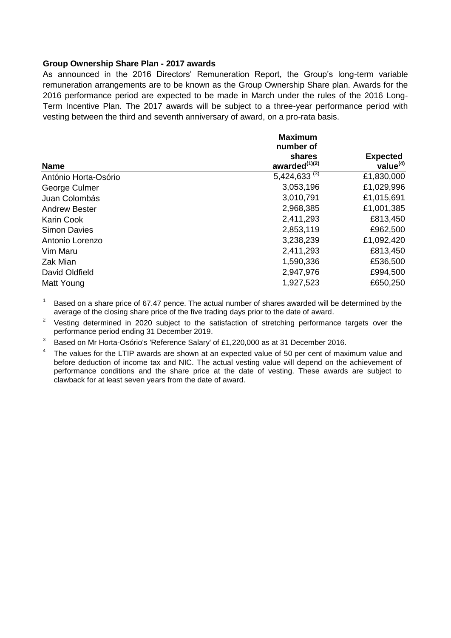#### **Group Ownership Share Plan - 2017 awards**

As announced in the 2016 Directors' Remuneration Report, the Group's long-term variable remuneration arrangements are to be known as the Group Ownership Share plan. Awards for the 2016 performance period are expected to be made in March under the rules of the 2016 Long-Term Incentive Plan. The 2017 awards will be subject to a three-year performance period with vesting between the third and seventh anniversary of award, on a pro-rata basis.

|                      | <b>Maximum</b><br>number of   |                                |  |
|----------------------|-------------------------------|--------------------------------|--|
| <b>Name</b>          | shares<br>awarded $^{(1)(2)}$ | <b>Expected</b><br>value $(4)$ |  |
| António Horta-Osório | 5,424,633 $(3)$               | £1,830,000                     |  |
| George Culmer        | 3,053,196                     | £1,029,996                     |  |
| Juan Colombás        | 3,010,791                     | £1,015,691                     |  |
| <b>Andrew Bester</b> | 2,968,385                     | £1,001,385                     |  |
| <b>Karin Cook</b>    | 2,411,293                     | £813,450                       |  |
| <b>Simon Davies</b>  | 2,853,119                     | £962,500                       |  |
| Antonio Lorenzo      | 3,238,239                     | £1,092,420                     |  |
| Vim Maru             | 2,411,293                     | £813,450                       |  |
| Zak Mian             | 1,590,336                     | £536,500                       |  |
| David Oldfield       | 2,947,976                     | £994,500                       |  |
| Matt Young           | 1,927,523                     | £650,250                       |  |

 $1$  Based on a share price of 67.47 pence. The actual number of shares awarded will be determined by the average of the closing share price of the five trading days prior to the date of award.

2 Vesting determined in 2020 subject to the satisfaction of stretching performance targets over the performance period ending 31 December 2019.

3 Based on Mr Horta-Osório's 'Reference Salary' of £1,220,000 as at 31 December 2016.

4 The values for the LTIP awards are shown at an expected value of 50 per cent of maximum value and before deduction of income tax and NIC. The actual vesting value will depend on the achievement of performance conditions and the share price at the date of vesting. These awards are subject to clawback for at least seven years from the date of award.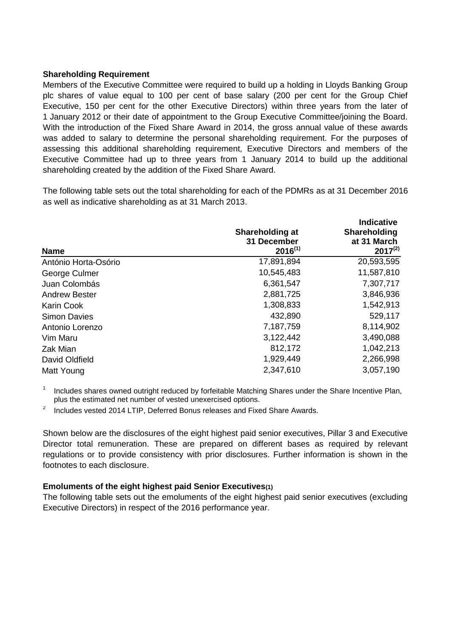#### **Shareholding Requirement**

Members of the Executive Committee were required to build up a holding in Lloyds Banking Group plc shares of value equal to 100 per cent of base salary (200 per cent for the Group Chief Executive, 150 per cent for the other Executive Directors) within three years from the later of 1 January 2012 or their date of appointment to the Group Executive Committee/joining the Board. With the introduction of the Fixed Share Award in 2014, the gross annual value of these awards was added to salary to determine the personal shareholding requirement. For the purposes of assessing this additional shareholding requirement, Executive Directors and members of the Executive Committee had up to three years from 1 January 2014 to build up the additional shareholding created by the addition of the Fixed Share Award.

The following table sets out the total shareholding for each of the PDMRs as at 31 December 2016 as well as indicative shareholding as at 31 March 2013.

| <b>Name</b>          | Shareholding at<br>31 December<br>$2016^{(1)}$ | Indicative<br>Shareholding<br>at 31 March<br>$2017^{(2)}$ |
|----------------------|------------------------------------------------|-----------------------------------------------------------|
| António Horta-Osório | 17,891,894                                     | 20,593,595                                                |
| George Culmer        | 10,545,483                                     | 11,587,810                                                |
| Juan Colombás        | 6,361,547                                      | 7,307,717                                                 |
| <b>Andrew Bester</b> | 2,881,725                                      | 3,846,936                                                 |
| <b>Karin Cook</b>    | 1,308,833                                      | 1,542,913                                                 |
| <b>Simon Davies</b>  | 432,890                                        | 529,117                                                   |
| Antonio Lorenzo      | 7,187,759                                      | 8,114,902                                                 |
| Vim Maru             | 3,122,442                                      | 3,490,088                                                 |
| Zak Mian             | 812,172                                        | 1,042,213                                                 |
| David Oldfield       | 1,929,449                                      | 2,266,998                                                 |
| Matt Young           | 2,347,610                                      | 3,057,190                                                 |

1 Includes shares owned outright reduced by forfeitable Matching Shares under the Share Incentive Plan, plus the estimated net number of vested unexercised options.

2 Includes vested 2014 LTIP, Deferred Bonus releases and Fixed Share Awards.

Shown below are the disclosures of the eight highest paid senior executives, Pillar 3 and Executive Director total remuneration. These are prepared on different bases as required by relevant regulations or to provide consistency with prior disclosures. Further information is shown in the footnotes to each disclosure.

## **Emoluments of the eight highest paid Senior Executives(1)**

The following table sets out the emoluments of the eight highest paid senior executives (excluding Executive Directors) in respect of the 2016 performance year.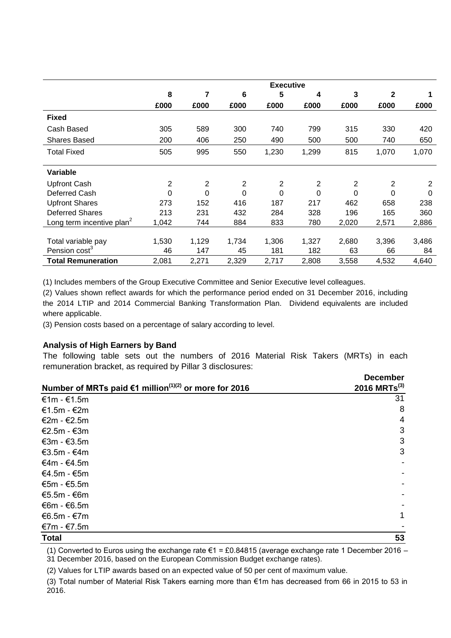|                                       | <b>Executive</b> |                |                |          |       |       |       |       |
|---------------------------------------|------------------|----------------|----------------|----------|-------|-------|-------|-------|
|                                       | 8                | 7              | 6              | 5        | 4     | 3     | 2     |       |
|                                       | £000             | £000           | £000           | £000     | £000  | £000  | £000  | £000  |
| <b>Fixed</b>                          |                  |                |                |          |       |       |       |       |
| Cash Based                            | 305              | 589            | 300            | 740      | 799   | 315   | 330   | 420   |
| <b>Shares Based</b>                   | 200              | 406            | 250            | 490      | 500   | 500   | 740   | 650   |
| <b>Total Fixed</b>                    | 505              | 995            | 550            | 1,230    | 1,299 | 815   | 1,070 | 1,070 |
| Variable                              |                  |                |                |          |       |       |       |       |
|                                       |                  |                |                |          |       |       |       |       |
| <b>Upfront Cash</b>                   | 2                | $\overline{2}$ | $\overline{2}$ | 2        | 2     | 2     | 2     | 2     |
| Deferred Cash                         | 0                | 0              | $\mathbf 0$    | $\Omega$ | 0     | 0     | 0     | 0     |
| <b>Upfront Shares</b>                 | 273              | 152            | 416            | 187      | 217   | 462   | 658   | 238   |
| <b>Deferred Shares</b>                | 213              | 231            | 432            | 284      | 328   | 196   | 165   | 360   |
| Long term incentive plan <sup>2</sup> | 1,042            | 744            | 884            | 833      | 780   | 2,020 | 2,571 | 2,886 |
|                                       |                  |                |                |          |       |       |       |       |
| Total variable pay                    | 1,530            | 1,129          | 1,734          | 1,306    | 1,327 | 2,680 | 3,396 | 3,486 |
| Pension cost <sup>3</sup>             | 46               | 147            | 45             | 181      | 182   | 63    | 66    | 84    |
| <b>Total Remuneration</b>             | 2,081            | 2,271          | 2,329          | 2,717    | 2,808 | 3,558 | 4,532 | 4,640 |

(1) Includes members of the Group Executive Committee and Senior Executive level colleagues.

(2) Values shown reflect awards for which the performance period ended on 31 December 2016, including the 2014 LTIP and 2014 Commercial Banking Transformation Plan. Dividend equivalents are included where applicable.

(3) Pension costs based on a percentage of salary according to level.

## **Analysis of High Earners by Band**

The following table sets out the numbers of 2016 Material Risk Takers (MRTs) in each remuneration bracket, as required by Pillar 3 disclosures:

|                                                                   | <b>December</b>            |
|-------------------------------------------------------------------|----------------------------|
| Number of MRTs paid €1 million <sup>(1)(2)</sup> or more for 2016 | $2016$ MRTs <sup>(3)</sup> |
| €1m - $€1.5m$                                                     | 31                         |
| €1.5m - $€2m$                                                     | 8                          |
| €2m - €2.5m                                                       | 4                          |
| €2.5m - $€3m$                                                     | 3                          |
| €3m - $€3.5m$                                                     | 3                          |
| €3.5m - $€4m$                                                     | 3                          |
| €4m - €4.5m                                                       |                            |
| $€4.5m - €5m$                                                     |                            |
| €5m - $€5.5m$                                                     |                            |
| $€5.5m - €6m$                                                     |                            |
| €6m - €6.5m                                                       |                            |
| €6.5m - $€7m$                                                     | $\mathbf{1}$               |
| €7m - €7.5m                                                       |                            |
| <b>Total</b>                                                      | 53                         |

(1) Converted to Euros using the exchange rate  $\epsilon$ 1 = £0.84815 (average exchange rate 1 December 2016 – 31 December 2016, based on the European Commission Budget exchange rates).

(2) Values for LTIP awards based on an expected value of 50 per cent of maximum value.

(3) Total number of Material Risk Takers earning more than €1m has decreased from 66 in 2015 to 53 in 2016.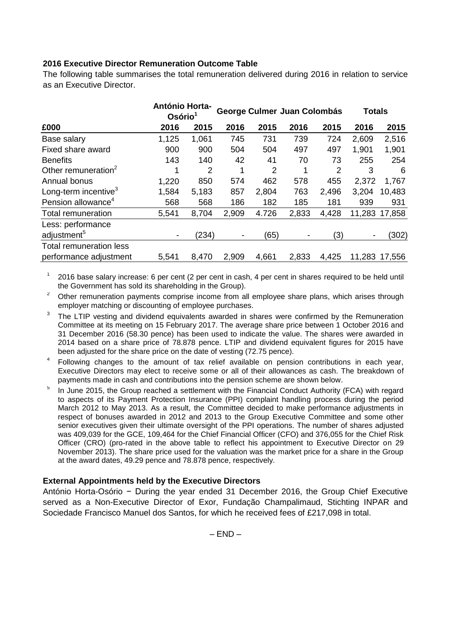# **2016 Executive Director Remuneration Outcome Table**

The following table summarises the total remuneration delivered during 2016 in relation to service as an Executive Director.

|                                  | <b>António Horta-</b><br>Osório <sup>1</sup> |       | George Culmer Juan Colombás |       |                          |       | <b>Totals</b> |               |
|----------------------------------|----------------------------------------------|-------|-----------------------------|-------|--------------------------|-------|---------------|---------------|
| £000                             | 2016                                         | 2015  | 2016                        | 2015  | 2016                     | 2015  | 2016          | 2015          |
| Base salary                      | 1,125                                        | 1,061 | 745                         | 731   | 739                      | 724   | 2,609         | 2,516         |
| Fixed share award                | 900                                          | 900   | 504                         | 504   | 497                      | 497   | 1,901         | 1,901         |
| <b>Benefits</b>                  | 143                                          | 140   | 42                          | 41    | 70                       | 73    | 255           | 254           |
| Other remuneration <sup>2</sup>  |                                              | 2     |                             | 2     |                          | 2     | 3             | 6             |
| Annual bonus                     | 1,220                                        | 850   | 574                         | 462   | 578                      | 455   | 2,372         | 1,767         |
| Long-term incentive <sup>3</sup> | 1,584                                        | 5,183 | 857                         | 2,804 | 763                      | 2,496 | 3,204         | 10,483        |
| Pension allowance <sup>4</sup>   | 568                                          | 568   | 186                         | 182   | 185                      | 181   | 939           | 931           |
| <b>Total remuneration</b>        | 5,541                                        | 8,704 | 2,909                       | 4.726 | 2,833                    | 4,428 |               | 11,283 17,858 |
| Less: performance                |                                              |       |                             |       |                          |       |               |               |
| adjustment <sup>5</sup>          |                                              | (234) |                             | (65)  | $\overline{\phantom{a}}$ | (3)   |               | (302)         |
| Total remuneration less          |                                              |       |                             |       |                          |       |               |               |
| performance adjustment           | 5,541                                        | 8,470 | 2,909                       | 4,661 | 2,833                    | 4,425 |               | 11,283 17,556 |

1 2016 base salary increase: 6 per cent (2 per cent in cash, 4 per cent in shares required to be held until the Government has sold its shareholding in the Group).

<sup>2</sup> Other remuneration payments comprise income from all employee share plans, which arises through employer matching or discounting of employee purchases.

- 3 The LTIP vesting and dividend equivalents awarded in shares were confirmed by the Remuneration Committee at its meeting on 15 February 2017. The average share price between 1 October 2016 and 31 December 2016 (58.30 pence) has been used to indicate the value. The shares were awarded in 2014 based on a share price of 78.878 pence. LTIP and dividend equivalent figures for 2015 have been adjusted for the share price on the date of vesting (72.75 pence).
- 4 Following changes to the amount of tax relief available on pension contributions in each year, Executive Directors may elect to receive some or all of their allowances as cash. The breakdown of payments made in cash and contributions into the pension scheme are shown below.
- 5 In June 2015, the Group reached a settlement with the Financial Conduct Authority (FCA) with regard to aspects of its Payment Protection Insurance (PPI) complaint handling process during the period March 2012 to May 2013. As a result, the Committee decided to make performance adjustments in respect of bonuses awarded in 2012 and 2013 to the Group Executive Committee and some other senior executives given their ultimate oversight of the PPI operations. The number of shares adjusted was 409,039 for the GCE, 109,464 for the Chief Financial Officer (CFO) and 376,055 for the Chief Risk Officer (CRO) (pro-rated in the above table to reflect his appointment to Executive Director on 29 November 2013). The share price used for the valuation was the market price for a share in the Group at the award dates, 49.29 pence and 78.878 pence, respectively.

## **External Appointments held by the Executive Directors**

António Horta-Osório − During the year ended 31 December 2016, the Group Chief Executive served as a Non-Executive Director of Exor, Fundação Champalimaud, Stichting INPAR and Sociedade Francisco Manuel dos Santos, for which he received fees of £217,098 in total.

 $-$  END  $-$